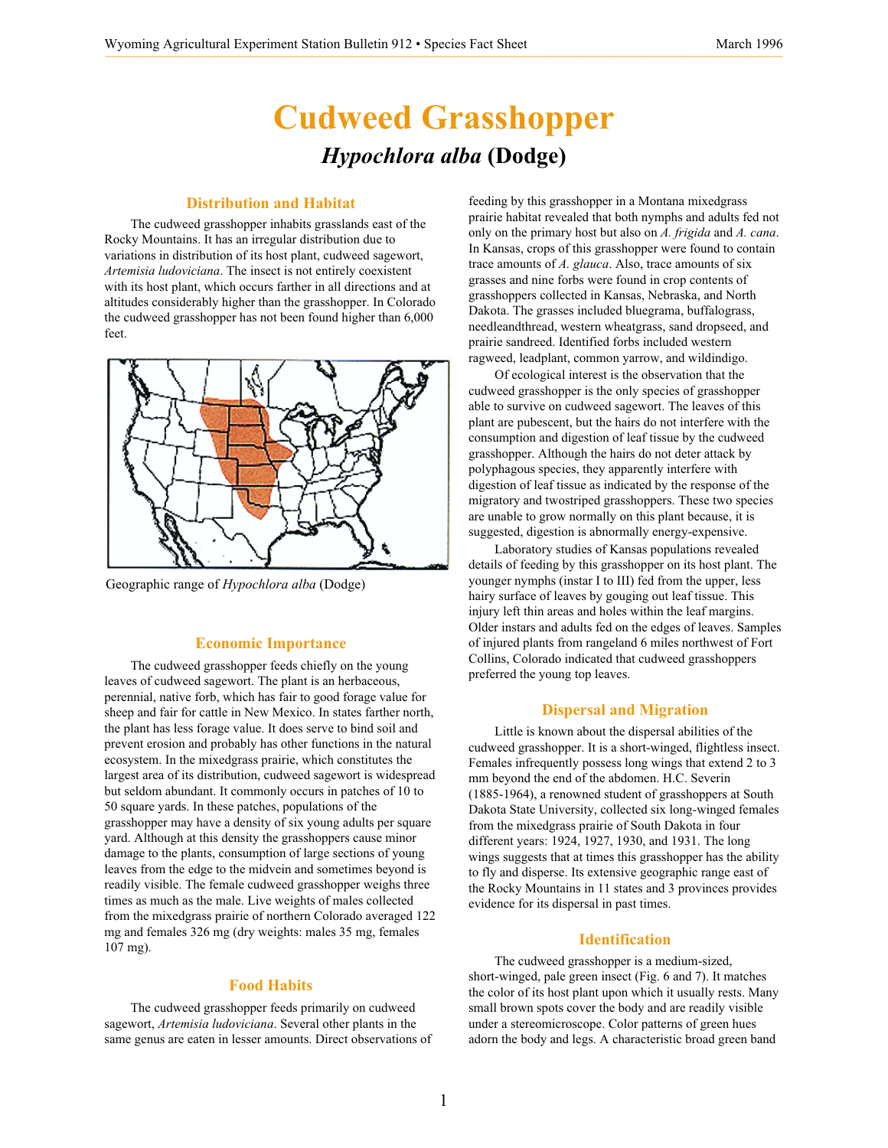# **Cudweed Grasshopper** *Hypochlora alba* **(Dodge)**

## **Distribution and Habitat**

The cudweed grasshopper inhabits grasslands east of the Rocky Mountains. It has an irregular distribution due to variations in distribution of its host plant, cudweed sagewort, *Artemisia ludoviciana*. The insect is not entirely coexistent with its host plant, which occurs farther in all directions and at altitudes considerably higher than the grasshopper. In Colorado the cudweed grasshopper has not been found higher than 6,000 feet.



Geographic range of *Hypochlora alba* (Dodge)

# **Economic Importance**

The cudweed grasshopper feeds chiefly on the young leaves of cudweed sagewort. The plant is an herbaceous, perennial, native forb, which has fair to good forage value for sheep and fair for cattle in New Mexico. In states farther north, the plant has less forage value. It does serve to bind soil and prevent erosion and probably has other functions in the natural ecosystem. In the mixedgrass prairie, which constitutes the largest area of its distribution, cudweed sagewort is widespread but seldom abundant. It commonly occurs in patches of 10 to 50 square yards. In these patches, populations of the grasshopper may have a density of six young adults per square yard. Although at this density the grasshoppers cause minor damage to the plants, consumption of large sections of young leaves from the edge to the midvein and sometimes beyond is readily visible. The female cudweed grasshopper weighs three times as much as the male. Live weights of males collected from the mixedgrass prairie of northern Colorado averaged 122 mg and females 326 mg (dry weights: males 35 mg, females 107 mg).

#### **Food Habits**

The cudweed grasshopper feeds primarily on cudweed sagewort, *Artemisia ludoviciana*. Several other plants in the same genus are eaten in lesser amounts. Direct observations of feeding by this grasshopper in a Montana mixedgrass prairie habitat revealed that both nymphs and adults fed not only on the primary host but also on *A. frigida* and *A. cana*. In Kansas, crops of this grasshopper were found to contain trace amounts of *A. glauca*. Also, trace amounts of six grasses and nine forbs were found in crop contents of grasshoppers collected in Kansas, Nebraska, and North Dakota. The grasses included bluegrama, buffalograss, needleandthread, western wheatgrass, sand dropseed, and prairie sandreed. Identified forbs included western ragweed, leadplant, common yarrow, and wildindigo.

Of ecological interest is the observation that the cudweed grasshopper is the only species of grasshopper able to survive on cudweed sagewort. The leaves of this plant are pubescent, but the hairs do not interfere with the consumption and digestion of leaf tissue by the cudweed grasshopper. Although the hairs do not deter attack by polyphagous species, they apparently interfere with digestion of leaf tissue as indicated by the response of the migratory and twostriped grasshoppers. These two species are unable to grow normally on this plant because, it is suggested, digestion is abnormally energy-expensive.

Laboratory studies of Kansas populations revealed details of feeding by this grasshopper on its host plant. The younger nymphs (instar I to III) fed from the upper, less hairy surface of leaves by gouging out leaf tissue. This injury left thin areas and holes within the leaf margins. Older instars and adults fed on the edges of leaves. Samples of injured plants from rangeland 6 miles northwest of Fort Collins, Colorado indicated that cudweed grasshoppers preferred the young top leaves.

#### **Dispersal and Migration**

Little is known about the dispersal abilities of the cudweed grasshopper. It is a short-winged, flightless insect. Females infrequently possess long wings that extend 2 to 3 mm beyond the end of the abdomen. H.C. Severin (1885-1964), a renowned student of grasshoppers at South Dakota State University, collected six long-winged females from the mixedgrass prairie of South Dakota in four different years: 1924, 1927, 1930, and 1931. The long wings suggests that at times this grasshopper has the ability to fly and disperse. Its extensive geographic range east of the Rocky Mountains in 11 states and 3 provinces provides evidence for its dispersal in past times.

#### **Identification**

The cudweed grasshopper is a medium-sized, short-winged, pale green insect (Fig. 6 and 7). It matches the color of its host plant upon which it usually rests. Many small brown spots cover the body and are readily visible under a stereomicroscope. Color patterns of green hues adorn the body and legs. A characteristic broad green band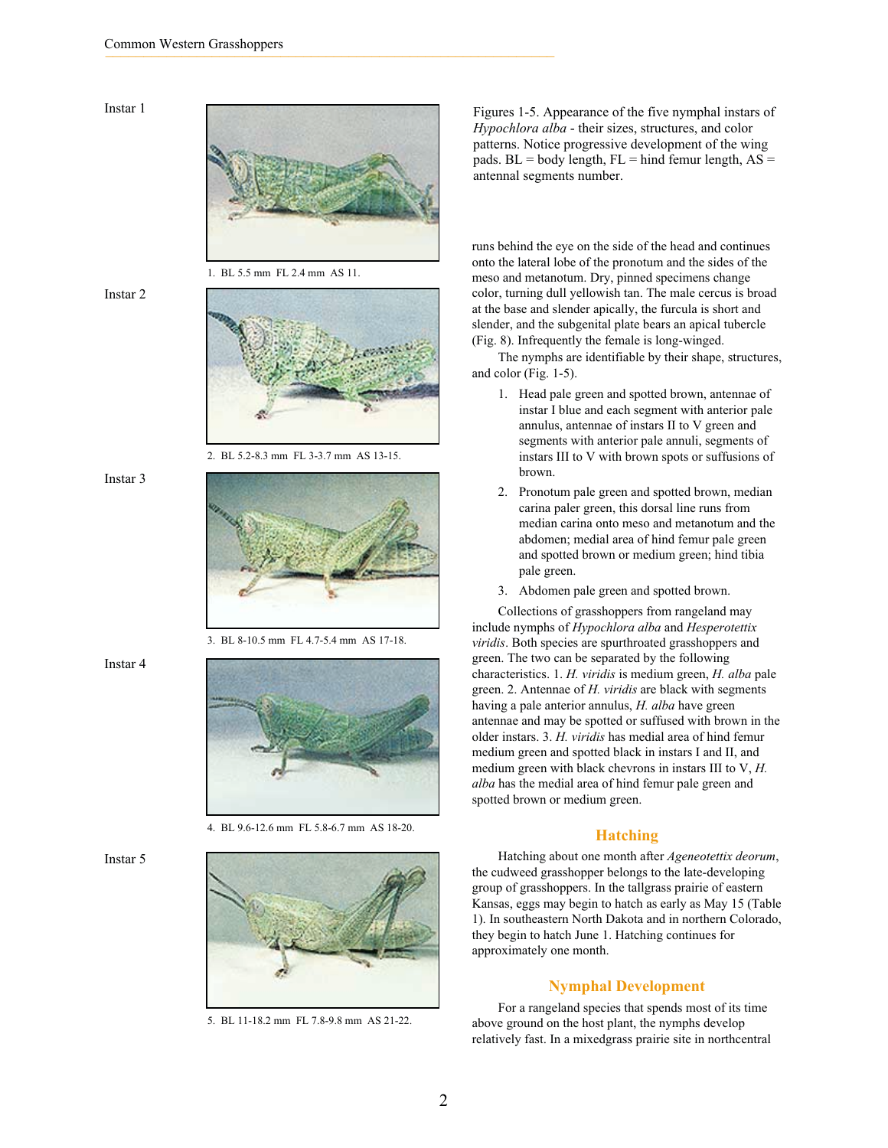### Instar 1



1. BL 5.5 mm FL 2.4 mm AS 11.

#### Instar 2



2. BL 5.2-8.3 mm FL 3-3.7 mm AS 13-15.

## Instar 3



3. BL 8-10.5 mm FL 4.7-5.4 mm AS 17-18.

Instar 4



4. BL 9.6-12.6 mm FL 5.8-6.7 mm AS 18-20.



5. BL 11-18.2 mm FL 7.8-9.8 mm AS 21-22.

Figures 1-5. Appearance of the five nymphal instars of *Hypochlora alba* - their sizes, structures, and color patterns. Notice progressive development of the wing pads.  $BL = body$  length,  $FL = hind$  femur length,  $AS =$ antennal segments number.

runs behind the eye on the side of the head and continues onto the lateral lobe of the pronotum and the sides of the meso and metanotum. Dry, pinned specimens change color, turning dull yellowish tan. The male cercus is broad at the base and slender apically, the furcula is short and slender, and the subgenital plate bears an apical tubercle (Fig. 8). Infrequently the female is long-winged.

The nymphs are identifiable by their shape, structures, and color (Fig. 1-5).

- 1. Head pale green and spotted brown, antennae of instar I blue and each segment with anterior pale annulus, antennae of instars II to V green and segments with anterior pale annuli, segments of instars III to V with brown spots or suffusions of brown.
- 2. Pronotum pale green and spotted brown, median carina paler green, this dorsal line runs from median carina onto meso and metanotum and the abdomen; medial area of hind femur pale green and spotted brown or medium green; hind tibia pale green.
- 3. Abdomen pale green and spotted brown.

Collections of grasshoppers from rangeland may include nymphs of *Hypochlora alba* and *Hesperotettix viridis*. Both species are spurthroated grasshoppers and green. The two can be separated by the following characteristics. 1. *H. viridis* is medium green, *H. alba* pale green. 2. Antennae of *H. viridis* are black with segments having a pale anterior annulus, *H. alba* have green antennae and may be spotted or suffused with brown in the older instars. 3. *H. viridis* has medial area of hind femur medium green and spotted black in instars I and II, and medium green with black chevrons in instars III to V, *H. alba* has the medial area of hind femur pale green and spotted brown or medium green.

#### **Hatching**

Hatching about one month after *Ageneotettix deorum*, the cudweed grasshopper belongs to the late-developing group of grasshoppers. In the tallgrass prairie of eastern Kansas, eggs may begin to hatch as early as May 15 (Table 1). In southeastern North Dakota and in northern Colorado, they begin to hatch June 1. Hatching continues for approximately one month.

#### **Nymphal Development**

For a rangeland species that spends most of its time above ground on the host plant, the nymphs develop relatively fast. In a mixedgrass prairie site in northcentral

# Instar 5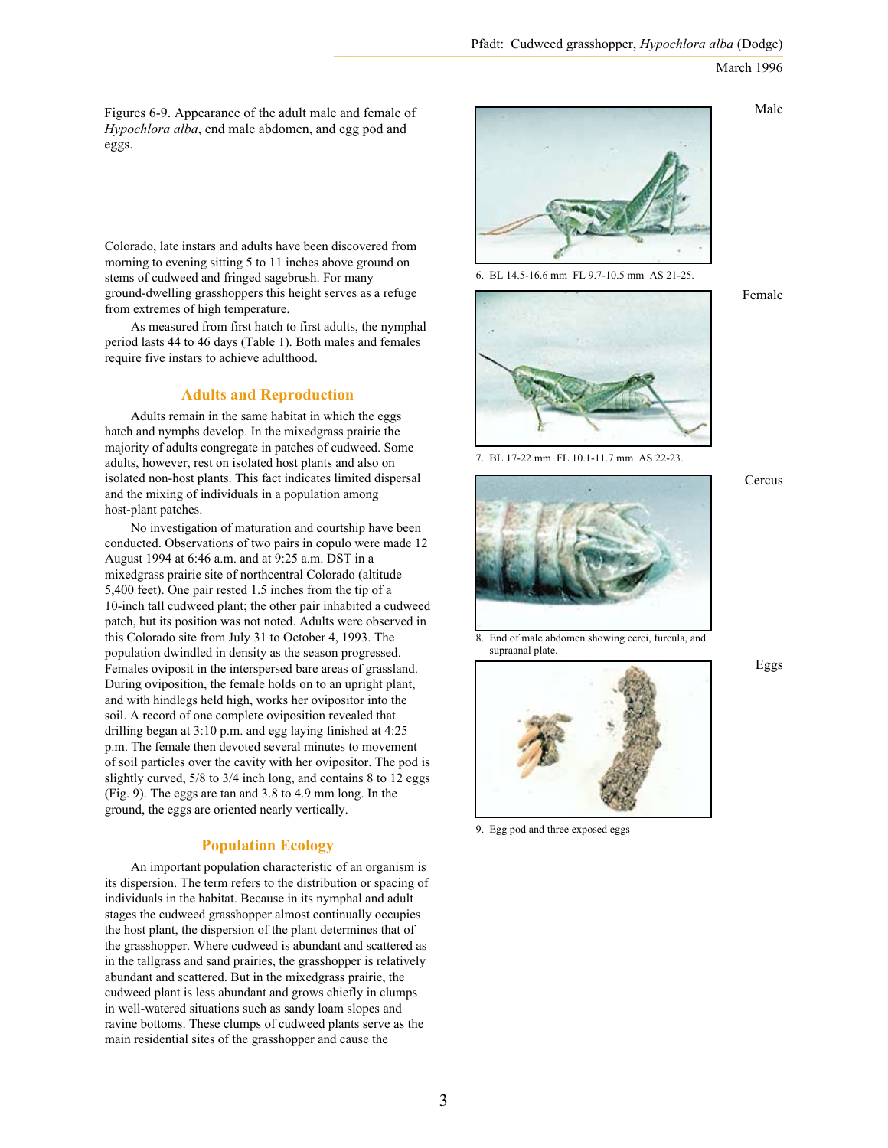Figures 6-9. Appearance of the adult male and female of *Hypochlora alba*, end male abdomen, and egg pod and eggs.

Colorado, late instars and adults have been discovered from morning to evening sitting 5 to 11 inches above ground on stems of cudweed and fringed sagebrush. For many ground-dwelling grasshoppers this height serves as a refuge from extremes of high temperature.

As measured from first hatch to first adults, the nymphal period lasts 44 to 46 days (Table 1). Both males and females require five instars to achieve adulthood.

## **Adults and Reproduction**

Adults remain in the same habitat in which the eggs hatch and nymphs develop. In the mixedgrass prairie the majority of adults congregate in patches of cudweed. Some adults, however, rest on isolated host plants and also on isolated non-host plants. This fact indicates limited dispersal and the mixing of individuals in a population among host-plant patches.

No investigation of maturation and courtship have been conducted. Observations of two pairs in copulo were made 12 August 1994 at 6:46 a.m. and at 9:25 a.m. DST in a mixedgrass prairie site of northcentral Colorado (altitude 5,400 feet). One pair rested 1.5 inches from the tip of a 10-inch tall cudweed plant; the other pair inhabited a cudweed patch, but its position was not noted. Adults were observed in this Colorado site from July 31 to October 4, 1993. The population dwindled in density as the season progressed. Females oviposit in the interspersed bare areas of grassland. During oviposition, the female holds on to an upright plant, and with hindlegs held high, works her ovipositor into the soil. A record of one complete oviposition revealed that drilling began at 3:10 p.m. and egg laying finished at 4:25 p.m. The female then devoted several minutes to movement of soil particles over the cavity with her ovipositor. The pod is slightly curved, 5/8 to 3/4 inch long, and contains 8 to 12 eggs (Fig. 9). The eggs are tan and 3.8 to 4.9 mm long. In the ground, the eggs are oriented nearly vertically.

# **Population Ecology**

An important population characteristic of an organism is its dispersion. The term refers to the distribution or spacing of individuals in the habitat. Because in its nymphal and adult stages the cudweed grasshopper almost continually occupies the host plant, the dispersion of the plant determines that of the grasshopper. Where cudweed is abundant and scattered as in the tallgrass and sand prairies, the grasshopper is relatively abundant and scattered. But in the mixedgrass prairie, the cudweed plant is less abundant and grows chiefly in clumps in well-watered situations such as sandy loam slopes and ravine bottoms. These clumps of cudweed plants serve as the main residential sites of the grasshopper and cause the



6. BL 14.5-16.6 mm FL 9.7-10.5 mm AS 21-25.

Female

Male



7. BL 17-22 mm FL 10.1-11.7 mm AS 22-23.



8. End of male abdomen showing cerci, furcula, and supraanal plate.



9. Egg pod and three exposed eggs

Cercus

#### Eggs